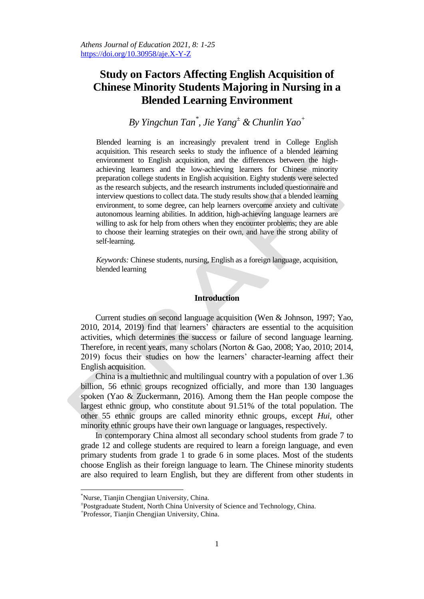# **Study on Factors Affecting English Acquisition of Chinese Minority Students Majoring in Nursing in a Blended Learning Environment**

*By Yingchun Tan\* , Jie Yang<sup>±</sup> & Chunlin Yao<sup>+</sup>*

Blended learning is an increasingly prevalent trend in College English acquisition. This research seeks to study the influence of a blended learning environment to English acquisition, and the differences between the highachieving learners and the low-achieving learners for Chinese minority preparation college students in English acquisition. Eighty students were selected as the research subjects, and the research instruments included questionnaire and interview questions to collect data. The study results show that a blended learning environment, to some degree, can help learners overcome anxiety and cultivate autonomous learning abilities. In addition, high-achieving language learners are willing to ask for help from others when they encounter problems; they are able to choose their learning strategies on their own, and have the strong ability of self-learning.

*Keywords:* Chinese students, nursing, English as a foreign language, acquisition, blended learning

### **Introduction**

Current studies on second language acquisition (Wen & Johnson, 1997; Yao, 2010, 2014, 2019) find that learners" characters are essential to the acquisition activities, which determines the success or failure of second language learning. Therefore, in recent years, many scholars (Norton & Gao, 2008; Yao, 2010; 2014, 2019) focus their studies on how the learners" character-learning affect their English acquisition.

China is a multiethnic and multilingual country with a population of over 1.36 billion, 56 ethnic groups recognized officially, and more than 130 languages spoken (Yao & Zuckermann, 2016). Among them the Han people compose the largest ethnic group, who constitute about 91.51% of the total population. The other 55 ethnic groups are called minority ethnic groups, except *Hui*, other minority ethnic groups have their own language or languages, respectively.

In contemporary China almost all secondary school students from grade 7 to grade 12 and college students are required to learn a foreign language, and even primary students from grade 1 to grade 6 in some places. Most of the students choose English as their foreign language to learn. The Chinese minority students are also required to learn English, but they are different from other students in

 $\overline{a}$ 

<sup>\*</sup>Nurse, Tianjin Chengjian University, China.

<sup>±</sup> Postgraduate Student, North China University of Science and Technology, China.

<sup>+</sup> Professor, Tianjin Chengjian University, China.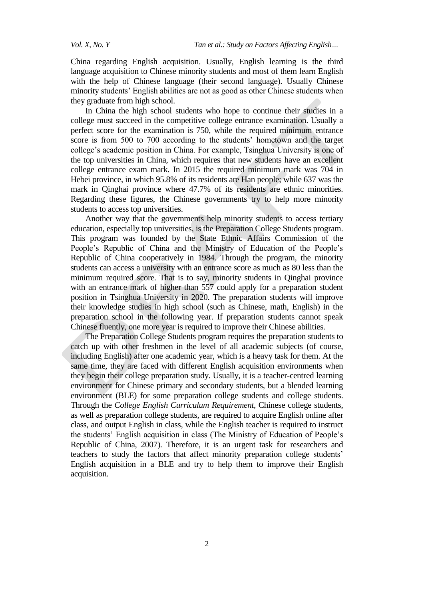China regarding English acquisition. Usually, English learning is the third language acquisition to Chinese minority students and most of them learn English with the help of Chinese language (their second language). Usually Chinese minority students" English abilities are not as good as other Chinese students when they graduate from high school.

In China the high school students who hope to continue their studies in a college must succeed in the competitive college entrance examination. Usually a perfect score for the examination is 750, while the required minimum entrance score is from 500 to 700 according to the students' hometown and the target college's academic position in China. For example, Tsinghua University is one of the top universities in China, which requires that new students have an excellent college entrance exam mark. In 2015 the required minimum mark was 704 in Hebei province, in which 95.8% of its residents are Han people; while 637 was the mark in Qinghai province where 47.7% of its residents are ethnic minorities. Regarding these figures, the Chinese governments try to help more minority students to access top universities.

Another way that the governments help minority students to access tertiary education, especially top universities, is the Preparation College Students program. This program was founded by the State Ethnic Affairs Commission of the People's Republic of China and the Ministry of Education of the People's Republic of China cooperatively in 1984. Through the program, the minority students can access a university with an entrance score as much as 80 less than the minimum required score. That is to say, minority students in Qinghai province with an entrance mark of higher than 557 could apply for a preparation student position in Tsinghua University in 2020. The preparation students will improve their knowledge studies in high school (such as Chinese, math, English) in the preparation school in the following year. If preparation students cannot speak Chinese fluently, one more year is required to improve their Chinese abilities.

The Preparation College Students program requires the preparation students to catch up with other freshmen in the level of all academic subjects (of course, including English) after one academic year, which is a heavy task for them. At the same time, they are faced with different English acquisition environments when they begin their college preparation study. Usually, it is a teacher-centred learning environment for Chinese primary and secondary students, but a blended learning environment (BLE) for some preparation college students and college students. Through the *College English Curriculum Requirement*, Chinese college students, as well as preparation college students, are required to acquire English online after class, and output English in class, while the English teacher is required to instruct the students" English acquisition in class (The Ministry of Education of People"s Republic of China, 2007). Therefore, it is an urgent task for researchers and teachers to study the factors that affect minority preparation college students" English acquisition in a BLE and try to help them to improve their English acquisition.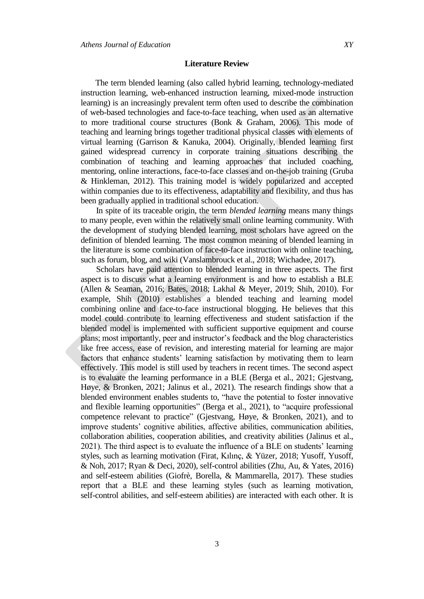#### **Literature Review**

The term blended learning (also called hybrid learning, technology-mediated instruction learning, web-enhanced instruction learning, mixed-mode instruction learning) is an increasingly prevalent term often used to describe the combination of web-based technologies and face-to-face teaching, when used as an alternative to more traditional course structures (Bonk & Graham, 2006). This mode of teaching and learning brings together traditional physical classes with elements of virtual learning (Garrison & Kanuka, 2004). Originally, blended learning first gained widespread currency in corporate training situations describing the combination of teaching and learning approaches that included coaching, mentoring, online interactions, face-to-face classes and on-the-job training (Gruba & Hinkleman, 2012). This training model is widely popularized and accepted within companies due to its effectiveness, adaptability and flexibility, and thus has been gradually applied in traditional school education.

In spite of its traceable origin, the term *blended learning* means many things to many people, even within the relatively small online learning community. With the development of studying blended learning, most scholars have agreed on the definition of blended learning. The most common meaning of blended learning in the literature is some combination of face-to-face instruction with online teaching, such as forum, blog, and wiki (Vanslambrouck et al., 2018; Wichadee, 2017).

Scholars have paid attention to blended learning in three aspects. The first aspect is to discuss what a learning environment is and how to establish a BLE (Allen & Seaman, 2016; Bates, 2018; Lakhal & Meyer, 2019; Shih, 2010). For example, Shih (2010) establishes a blended teaching and learning model combining online and face-to-face instructional blogging. He believes that this model could contribute to learning effectiveness and student satisfaction if the blended model is implemented with sufficient supportive equipment and course plans; most importantly, peer and instructor's feedback and the blog characteristics like free access, ease of revision, and interesting material for learning are major factors that enhance students' learning satisfaction by motivating them to learn effectively. This model is still used by teachers in recent times. The second aspect is to evaluate the learning performance in a BLE (Berga et al., 2021; Gjestvang, Høye, & Bronken, 2021; Jalinus et al., 2021). The research findings show that a blended environment enables students to, "have the potential to foster innovative and flexible learning opportunities" (Berga et al., 2021), to "acquire professional competence relevant to practice" (Gjestvang, Høye, & Bronken, 2021), and to improve students" cognitive abilities, affective abilities, communication abilities, collaboration abilities, cooperation abilities, and creativity abilities (Jalinus et al., 2021). The third aspect is to evaluate the influence of a BLE on students" learning styles, such as learning motivation (Firat, Kılınç, & Yüzer, 2018; Yusoff, Yusoff, & Noh, 2017; Ryan & Deci, 2020), self-control abilities (Zhu, Au, & Yates, 2016) and self-esteem abilities (Giofrè, Borella, & Mammarella, 2017). These studies report that a BLE and these learning styles (such as learning motivation, self-control abilities, and self-esteem abilities) are interacted with each other. It is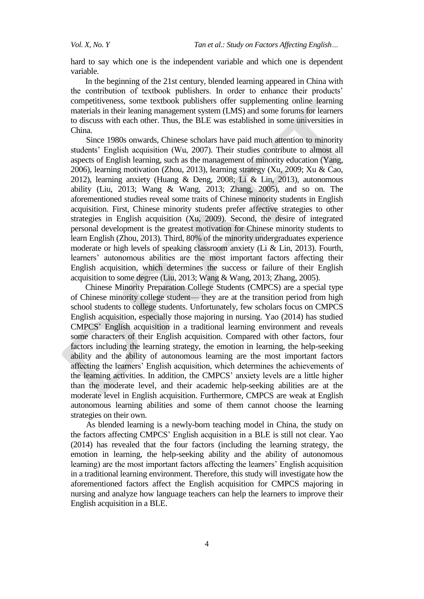*Vol. X, No. Y Tan et al.: Study on Factors Affecting English…*

hard to say which one is the independent variable and which one is dependent variable.

In the beginning of the 21st century, blended learning appeared in China with the contribution of textbook publishers. In order to enhance their products' competitiveness, some textbook publishers offer supplementing online learning materials in their leaning management system (LMS) and some forums for learners to discuss with each other. Thus, the BLE was established in some universities in China.

Since 1980s onwards, Chinese scholars have paid much attention to minority students" English acquisition (Wu, 2007). Their studies contribute to almost all aspects of English learning, such as the management of minority education (Yang, 2006), learning motivation (Zhou, 2013), learning strategy (Xu, 2009; Xu & Cao, 2012), learning anxiety (Huang & Deng, 2008; Li & Lin, 2013), autonomous ability (Liu, 2013; Wang & Wang, 2013; Zhang, 2005), and so on. The aforementioned studies reveal some traits of Chinese minority students in English acquisition. First, Chinese minority students prefer affective strategies to other strategies in English acquisition (Xu, 2009). Second, the desire of integrated personal development is the greatest motivation for Chinese minority students to learn English (Zhou, 2013). Third, 80% of the minority undergraduates experience moderate or high levels of speaking classroom anxiety (Li & Lin, 2013). Fourth, learners' autonomous abilities are the most important factors affecting their English acquisition, which determines the success or failure of their English acquisition to some degree (Liu, 2013; Wang & Wang, 2013; Zhang, 2005).

Chinese Minority Preparation College Students (CMPCS) are a special type of Chinese minority college student— they are at the transition period from high school students to college students. Unfortunately, few scholars focus on CMPCS English acquisition, especially those majoring in nursing. Yao (2014) has studied CMPCS" English acquisition in a traditional learning environment and reveals some characters of their English acquisition. Compared with other factors, four factors including the learning strategy, the emotion in learning, the help-seeking ability and the ability of autonomous learning are the most important factors affecting the learners" English acquisition, which determines the achievements of the learning activities. In addition, the CMPCS' anxiety levels are a little higher than the moderate level, and their academic help-seeking abilities are at the moderate level in English acquisition. Furthermore, CMPCS are weak at English autonomous learning abilities and some of them cannot choose the learning strategies on their own.

As blended learning is a newly-born teaching model in China, the study on the factors affecting CMPCS" English acquisition in a BLE is still not clear. Yao (2014) has revealed that the four factors (including the learning strategy, the emotion in learning, the help-seeking ability and the ability of autonomous learning) are the most important factors affecting the learners" English acquisition in a traditional learning environment. Therefore, this study will investigate how the aforementioned factors affect the English acquisition for CMPCS majoring in nursing and analyze how language teachers can help the learners to improve their English acquisition in a BLE.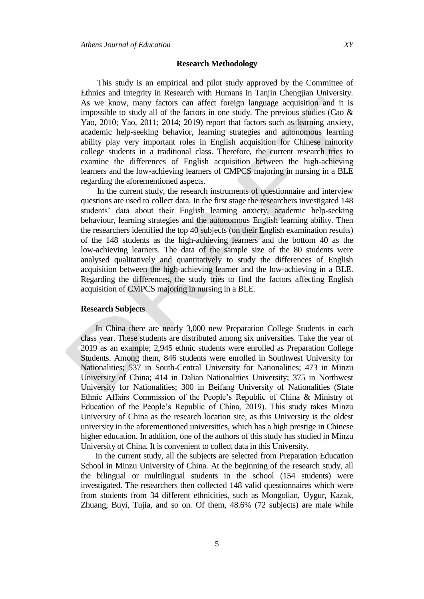This study is an empirical and pilot study approved by the Committee of Ethnics and Integrity in Research with Humans in Tanjin Chengjian University. As we know, many factors can affect foreign language acquisition and it is impossible to study all of the factors in one study. The previous studies (Cao  $\&$ Yao, 2010; Yao, 2011; 2014; 2019) report that factors such as learning anxiety, academic help-seeking behavior, learning strategies and autonomous learning ability play very important roles in English acquisition for Chinese minority college students in a traditional class. Therefore, the current research tries to examine the differences of English acquisition between the high-achieving learners and the low-achieving learners of CMPCS majoring in nursing in a BLE regarding the aforementioned aspects.

In the current study, the research instruments of questionnaire and interview questions are used to collect data. In the first stage the researchers investigated 148 students" data about their English learning anxiety, academic help-seeking behaviour, learning strategies and the autonomous English learning ability. Then the researchers identified the top 40 subjects (on their English examination results) of the 148 students as the high-achieving learners and the bottom 40 as the low-achieving learners. The data of the sample size of the 80 students were analysed qualitatively and quantitatively to study the differences of English acquisition between the high-achieving learner and the low-achieving in a BLE. Regarding the differences, the study tries to find the factors affecting English acquisition of CMPCS majoring in nursing in a BLE.

#### **Research Subjects**

In China there are nearly 3,000 new Preparation College Students in each class year. These students are distributed among six universities. Take the year of 2019 as an example; 2,945 ethnic students were enrolled as Preparation College Students. Among them, 846 students were enrolled in Southwest University for Nationalities; 537 in South-Central University for Nationalities; 473 in Minzu University of China; 414 in Dalian Nationalities University; 375 in Northwest University for Nationalities; 300 in Beifang University of Nationalities (State Ethnic Affairs Commission of the People"s Republic of China & Ministry of Education of the People"s Republic of China, 2019). This study takes Minzu University of China as the research location site, as this University is the oldest university in the aforementioned universities, which has a high prestige in Chinese higher education. In addition, one of the authors of this study has studied in Minzu University of China. It is convenient to collect data in this University.

In the current study, all the subjects are selected from Preparation Education School in Minzu University of China. At the beginning of the research study, all the bilingual or multilingual students in the school (154 students) were investigated. The researchers then collected 148 valid questionnaires which were from students from 34 different ethnicities, such as Mongolian, Uygur, Kazak, Zhuang, Buyi, Tujia, and so on. Of them, 48.6% (72 subjects) are male while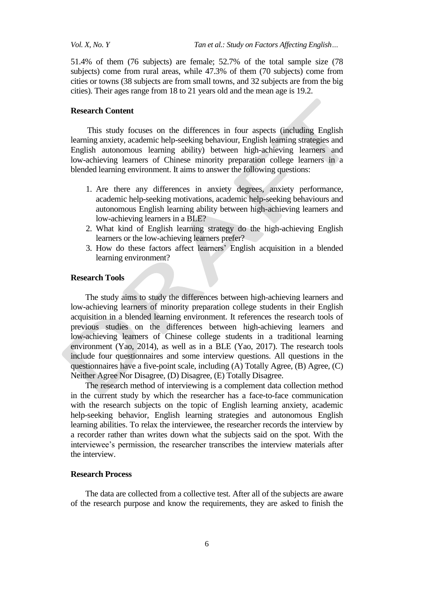51.4% of them (76 subjects) are female; 52.7% of the total sample size (78 subjects) come from rural areas, while 47.3% of them (70 subjects) come from cities or towns (38 subjects are from small towns, and 32 subjects are from the big cities). Their ages range from 18 to 21 years old and the mean age is 19.2.

#### **Research Content**

This study focuses on the differences in four aspects (including English learning anxiety, academic help-seeking behaviour, English learning strategies and English autonomous learning ability) between high-achieving learners and low-achieving learners of Chinese minority preparation college learners in a blended learning environment. It aims to answer the following questions:

- 1. Are there any differences in anxiety degrees, anxiety performance, academic help-seeking motivations, academic help-seeking behaviours and autonomous English learning ability between high-achieving learners and low-achieving learners in a BLE?
- 2. What kind of English learning strategy do the high-achieving English learners or the low-achieving learners prefer?
- 3. How do these factors affect learners" English acquisition in a blended learning environment?

### **Research Tools**

The study aims to study the differences between high-achieving learners and low-achieving learners of minority preparation college students in their English acquisition in a blended learning environment. It references the research tools of previous studies on the differences between high-achieving learners and low-achieving learners of Chinese college students in a traditional learning environment (Yao, 2014), as well as in a BLE (Yao, 2017). The research tools include four questionnaires and some interview questions. All questions in the questionnaires have a five-point scale, including (A) Totally Agree, (B) Agree, (C) Neither Agree Nor Disagree, (D) Disagree, (E) Totally Disagree.

The research method of interviewing is a complement data collection method in the current study by which the researcher has a face-to-face communication with the research subjects on the topic of English learning anxiety, academic help-seeking behavior, English learning strategies and autonomous English learning abilities. To relax the interviewee, the researcher records the interview by a recorder rather than writes down what the subjects said on the spot. With the interviewee's permission, the researcher transcribes the interview materials after the interview.

### **Research Process**

The data are collected from a collective test. After all of the subjects are aware of the research purpose and know the requirements, they are asked to finish the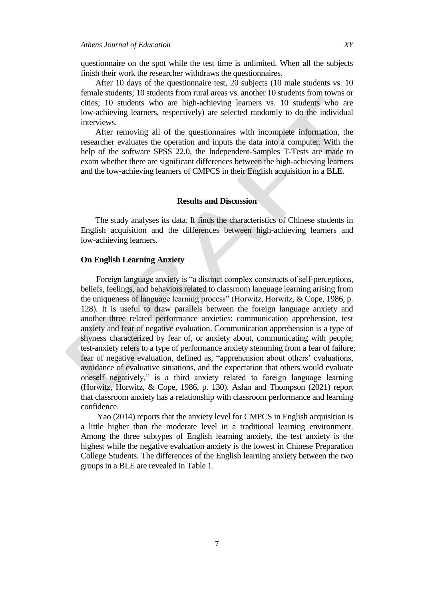questionnaire on the spot while the test time is unlimited. When all the subjects finish their work the researcher withdraws the questionnaires.

After 10 days of the questionnaire test, 20 subjects (10 male students vs. 10 female students; 10 students from rural areas vs. another 10 students from towns or cities; 10 students who are high-achieving learners vs. 10 students who are low-achieving learners, respectively) are selected randomly to do the individual interviews.

After removing all of the questionnaires with incomplete information, the researcher evaluates the operation and inputs the data into a computer. With the help of the software SPSS 22.0, the Independent-Samples T-Tests are made to exam whether there are significant differences between the high-achieving learners and the low-achieving learners of CMPCS in their English acquisition in a BLE.

#### **Results and Discussion**

The study analyses its data. It finds the characteristics of Chinese students in English acquisition and the differences between high-achieving learners and low-achieving learners.

#### **On English Learning Anxiety**

Foreign language anxiety is "a distinct complex constructs of self-perceptions, beliefs, feelings, and behaviors related to classroom language learning arising from the uniqueness of language learning process" (Horwitz, Horwitz, & Cope, 1986, p. 128). It is useful to draw parallels between the foreign language anxiety and another three related performance anxieties: communication apprehension, test anxiety and fear of negative evaluation. Communication apprehension is a type of shyness characterized by fear of, or anxiety about, communicating with people; test-anxiety refers to a type of performance anxiety stemming from a fear of failure; fear of negative evaluation, defined as, "apprehension about others' evaluations, avoidance of evaluative situations, and the expectation that others would evaluate oneself negatively," is a third anxiety related to foreign language learning (Horwitz, Horwitz, & Cope, 1986, p. 130). Aslan and Thompson (2021) report that classroom anxiety has a relationship with classroom performance and learning confidence.

Yao (2014) reports that the anxiety level for CMPCS in English acquisition is a little higher than the moderate level in a traditional learning environment. Among the three subtypes of English learning anxiety, the test anxiety is the highest while the negative evaluation anxiety is the lowest in Chinese Preparation College Students. The differences of the English learning anxiety between the two groups in a BLE are revealed in Table 1.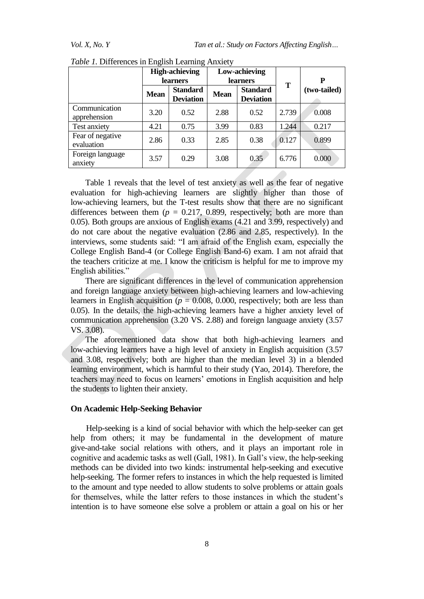|                                | <b>High-achieving</b><br><b>learners</b> |                                     | Low-achieving<br><b>learners</b> |                                     | T     |              |
|--------------------------------|------------------------------------------|-------------------------------------|----------------------------------|-------------------------------------|-------|--------------|
|                                |                                          |                                     |                                  |                                     |       | P            |
|                                | <b>Mean</b>                              | <b>Standard</b><br><b>Deviation</b> | <b>Mean</b>                      | <b>Standard</b><br><b>Deviation</b> |       | (two-tailed) |
|                                |                                          |                                     |                                  |                                     |       |              |
| Communication<br>apprehension  | 3.20                                     | 0.52                                | 2.88                             | 0.52                                | 2.739 | 0.008        |
| Test anxiety                   | 4.21                                     | 0.75                                | 3.99                             | 0.83                                | 1.244 | 0.217        |
| Fear of negative<br>evaluation | 2.86                                     | 0.33                                | 2.85                             | 0.38                                | 0.127 | 0.899        |
| Foreign language<br>anxiety    | 3.57                                     | 0.29                                | 3.08                             | 0.35                                | 6.776 | 0.000        |

*Table 1.* Differences in English Learning Anxiety

Table 1 reveals that the level of test anxiety as well as the fear of negative evaluation for high-achieving learners are slightly higher than those of low-achieving learners, but the T-test results show that there are no significant differences between them  $(p = 0.217, 0.899,$  respectively; both are more than 0.05). Both groups are anxious of English exams (4.21 and 3.99, respectively) and do not care about the negative evaluation (2.86 and 2.85, respectively). In the interviews, some students said: "I am afraid of the English exam, especially the College English Band-4 (or College English Band-6) exam. I am not afraid that the teachers criticize at me. I know the criticism is helpful for me to improve my English abilities."

There are significant differences in the level of communication apprehension and foreign language anxiety between high-achieving learners and low-achieving learners in English acquisition ( $p = 0.008$ , 0.000, respectively; both are less than 0.05). In the details, the high-achieving learners have a higher anxiety level of communication apprehension (3.20 VS. 2.88) and foreign language anxiety (3.57 VS. 3.08).

The aforementioned data show that both high-achieving learners and low-achieving learners have a high level of anxiety in English acquisition (3.57 and 3.08, respectively; both are higher than the median level 3) in a blended learning environment, which is harmful to their study (Yao, 2014). Therefore, the teachers may need to focus on learners' emotions in English acquisition and help the students to lighten their anxiety.

### **On Academic Help-Seeking Behavior**

Help-seeking is a kind of social behavior with which the help-seeker can get help from others; it may be fundamental in the development of mature give-and-take social relations with others, and it plays an important role in cognitive and academic tasks as well (Gall, 1981). In Gall"s view, the help-seeking methods can be divided into two kinds: instrumental help-seeking and executive help-seeking. The former refers to instances in which the help requested is limited to the amount and type needed to allow students to solve problems or attain goals for themselves, while the latter refers to those instances in which the student"s intention is to have someone else solve a problem or attain a goal on his or her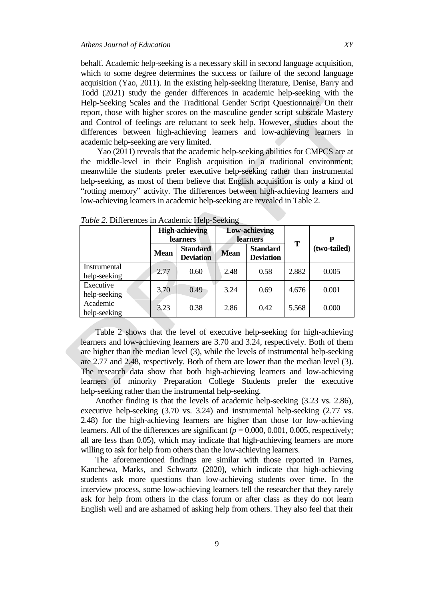behalf. Academic help-seeking is a necessary skill in second language acquisition, which to some degree determines the success or failure of the second language acquisition (Yao, 2011). In the existing help-seeking literature, Denise, Barry and Todd (2021) study the gender differences in academic help-seeking with the Help-Seeking Scales and the Traditional Gender Script Questionnaire. On their report, those with higher scores on the masculine gender script subscale Mastery and Control of feelings are reluctant to seek help. However, studies about the differences between high-achieving learners and low-achieving learners in academic help-seeking are very limited.

Yao (2011) reveals that the academic help-seeking abilities for CMPCS are at the middle-level in their English acquisition in a traditional environment; meanwhile the students prefer executive help-seeking rather than instrumental help-seeking, as most of them believe that English acquisition is only a kind of "rotting memory" activity. The differences between high-achieving learners and low-achieving learners in academic help-seeking are revealed in Table 2.

|                              | <b>High-achieving</b><br><b>learners</b> |                                     | <b>Low-achieving</b><br><b>learners</b> |                                     |       | P            |
|------------------------------|------------------------------------------|-------------------------------------|-----------------------------------------|-------------------------------------|-------|--------------|
|                              | <b>Mean</b>                              | <b>Standard</b><br><b>Deviation</b> | <b>Mean</b>                             | <b>Standard</b><br><b>Deviation</b> | T     | (two-tailed) |
| Instrumental<br>help-seeking | 2.77                                     | 0.60                                | 2.48                                    | 0.58                                | 2.882 | 0.005        |
| Executive<br>help-seeking    | 3.70                                     | 0.49                                | 3.24                                    | 0.69                                | 4.676 | 0.001        |
| Academic<br>help-seeking     | 3.23                                     | 0.38                                | 2.86                                    | 0.42                                | 5.568 | 0.000        |

*Table 2.* Differences in Academic Help-Seeking

Table 2 shows that the level of executive help-seeking for high-achieving learners and low-achieving learners are 3.70 and 3.24, respectively. Both of them are higher than the median level (3), while the levels of instrumental help-seeking are 2.77 and 2.48, respectively. Both of them are lower than the median level (3). The research data show that both high-achieving learners and low-achieving learners of minority Preparation College Students prefer the executive help-seeking rather than the instrumental help-seeking.

Another finding is that the levels of academic help-seeking (3.23 vs. 2.86), executive help-seeking (3.70 vs. 3.24) and instrumental help-seeking (2.77 vs. 2.48) for the high-achieving learners are higher than those for low-achieving learners. All of the differences are significant  $(p = 0.000, 0.001, 0.005,$  respectively; all are less than 0.05), which may indicate that high-achieving learners are more willing to ask for help from others than the low-achieving learners.

The aforementioned findings are similar with those reported in Parnes, Kanchewa, Marks, and Schwartz (2020), which indicate that high-achieving students ask more questions than low-achieving students over time. In the interview process, some low-achieving learners tell the researcher that they rarely ask for help from others in the class forum or after class as they do not learn English well and are ashamed of asking help from others. They also feel that their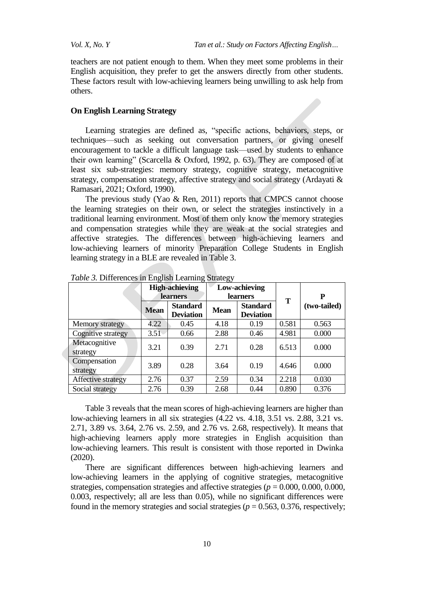teachers are not patient enough to them. When they meet some problems in their English acquisition, they prefer to get the answers directly from other students. These factors result with low-achieving learners being unwilling to ask help from others.

#### **On English Learning Strategy**

Learning strategies are defined as, "specific actions, behaviors, steps, or techniques—such as seeking out conversation partners, or giving oneself encouragement to tackle a difficult language task—used by students to enhance their own learning" (Scarcella & Oxford, 1992, p. 63). They are composed of at least six sub-strategies: memory strategy, cognitive strategy, metacognitive strategy, compensation strategy, affective strategy and social strategy (Ardayati & Ramasari, 2021; Oxford, 1990).

The previous study (Yao & Ren, 2011) reports that CMPCS cannot choose the learning strategies on their own, or select the strategies instinctively in a traditional learning environment. Most of them only know the memory strategies and compensation strategies while they are weak at the social strategies and affective strategies. The differences between high-achieving learners and low-achieving learners of minority Preparation College Students in English learning strategy in a BLE are revealed in Table 3.

|                           | <b>High-achieving</b><br><b>learners</b> |                                     | Low-achieving<br><b>learners</b> |                                     |       | P            |
|---------------------------|------------------------------------------|-------------------------------------|----------------------------------|-------------------------------------|-------|--------------|
|                           | <b>Mean</b>                              | <b>Standard</b><br><b>Deviation</b> | <b>Mean</b>                      | <b>Standard</b><br><b>Deviation</b> | T     | (two-tailed) |
| Memory strategy           | 4.22                                     | 0.45                                | 4.18                             | 0.19                                | 0.581 | 0.563        |
| Cognitive strategy        | 3.51                                     | 0.66                                | 2.88                             | 0.46                                | 4.981 | 0.000        |
| Metacognitive<br>strategy | 3.21                                     | 0.39                                | 2.71                             | 0.28                                | 6.513 | 0.000        |
| Compensation<br>strategy  | 3.89                                     | 0.28                                | 3.64                             | 0.19                                | 4.646 | 0.000        |
| Affective strategy        | 2.76                                     | 0.37                                | 2.59                             | 0.34                                | 2.218 | 0.030        |
| Social strategy           | 2.76                                     | 0.39                                | 2.68                             | 0.44                                | 0.890 | 0.376        |

*Table 3.* Differences in English Learning Strategy

Table 3 reveals that the mean scores of high-achieving learners are higher than low-achieving learners in all six strategies (4.22 vs. 4.18, 3.51 vs. 2.88, 3.21 vs. 2.71, 3.89 vs. 3.64, 2.76 vs. 2.59, and 2.76 vs. 2.68, respectively). It means that high-achieving learners apply more strategies in English acquisition than low-achieving learners. This result is consistent with those reported in Dwinka (2020).

There are significant differences between high-achieving learners and low-achieving learners in the applying of cognitive strategies, metacognitive strategies, compensation strategies and affective strategies ( $p = 0.000, 0.000, 0.000$ ), 0.003, respectively; all are less than 0.05), while no significant differences were found in the memory strategies and social strategies ( $p = 0.563$ , 0.376, respectively;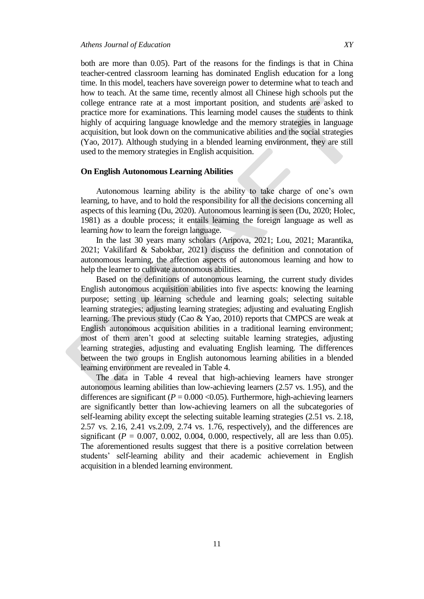both are more than 0.05). Part of the reasons for the findings is that in China teacher-centred classroom learning has dominated English education for a long time. In this model, teachers have sovereign power to determine what to teach and how to teach. At the same time, recently almost all Chinese high schools put the college entrance rate at a most important position, and students are asked to practice more for examinations. This learning model causes the students to think highly of acquiring language knowledge and the memory strategies in language acquisition, but look down on the communicative abilities and the social strategies (Yao, 2017). Although studying in a blended learning environment, they are still used to the memory strategies in English acquisition.

# **On English Autonomous Learning Abilities**

Autonomous learning ability is the ability to take charge of one"s own learning, to have, and to hold the responsibility for all the decisions concerning all aspects of this learning (Du, 2020). Autonomous learning is seen (Du, 2020; Holec, 1981) as a double process; it entails learning the foreign language as well as learning *how* to learn the foreign language.

In the last 30 years many scholars (Aripova, 2021; Lou, 2021; Marantika, 2021; Vakilifard & Sabokbar, 2021) discuss the definition and connotation of autonomous learning, the affection aspects of autonomous learning and how to help the learner to cultivate autonomous abilities.

Based on the definitions of autonomous learning, the current study divides English autonomous acquisition abilities into five aspects: knowing the learning purpose; setting up learning schedule and learning goals; selecting suitable learning strategies; adjusting learning strategies; adjusting and evaluating English learning. The previous study (Cao & Yao, 2010) reports that CMPCS are weak at English autonomous acquisition abilities in a traditional learning environment; most of them aren"t good at selecting suitable learning strategies, adjusting learning strategies, adjusting and evaluating English learning. The differences between the two groups in English autonomous learning abilities in a blended learning environment are revealed in Table 4.

The data in Table 4 reveal that high-achieving learners have stronger autonomous learning abilities than low-achieving learners (2.57 vs. 1.95), and the differences are significant ( $P = 0.000 \le 0.05$ ). Furthermore, high-achieving learners are significantly better than low-achieving learners on all the subcategories of self-learning ability except the selecting suitable learning strategies (2.51 vs. 2.18, 2.57 vs. 2.16, 2.41 vs.2.09, 2.74 vs. 1.76, respectively), and the differences are significant ( $P = 0.007, 0.002, 0.004, 0.000$ , respectively, all are less than 0.05). The aforementioned results suggest that there is a positive correlation between students" self-learning ability and their academic achievement in English acquisition in a blended learning environment.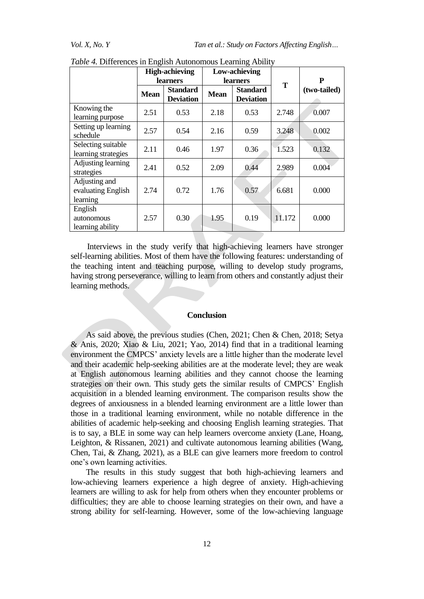*Vol. X, No. Y* Tan *et al.: Study on Factors Affecting English...* 

|                                                 | <b>High-achieving</b><br><b>learners</b> |                                     |                 | Low-achieving                       |        |              |
|-------------------------------------------------|------------------------------------------|-------------------------------------|-----------------|-------------------------------------|--------|--------------|
|                                                 |                                          |                                     | <b>learners</b> |                                     | T      | P            |
|                                                 | <b>Mean</b>                              | <b>Standard</b><br><b>Deviation</b> | <b>Mean</b>     | <b>Standard</b><br><b>Deviation</b> |        | (two-tailed) |
| Knowing the<br>learning purpose                 | 2.51                                     | 0.53                                | 2.18            | 0.53                                | 2.748  | 0.007        |
| Setting up learning<br>schedule                 | 2.57                                     | 0.54                                | 2.16            | 0.59                                | 3.248  | 0.002        |
| Selecting suitable<br>learning strategies       | 2.11                                     | 0.46                                | 1.97            | 0.36                                | 1.523  | 0.132        |
| Adjusting learning<br>strategies                | 2.41                                     | 0.52                                | 2.09            | 0.44                                | 2.989  | 0.004        |
| Adjusting and<br>evaluating English<br>learning | 2.74                                     | 0.72                                | 1.76            | 0.57                                | 6.681  | 0.000        |
| English<br>autonomous<br>learning ability       | 2.57                                     | 0.30                                | 1.95            | 0.19                                | 11.172 | 0.000        |

| Table 4. Differences in English Autonomous Learning Ability |  |  |
|-------------------------------------------------------------|--|--|
|-------------------------------------------------------------|--|--|

Interviews in the study verify that high-achieving learners have stronger self-learning abilities. Most of them have the following features: understanding of the teaching intent and teaching purpose, willing to develop study programs, having strong perseverance, willing to learn from others and constantly adjust their learning methods.

#### **Conclusion**

As said above, the previous studies (Chen, 2021; Chen & Chen, 2018; Setya & Anis, 2020; Xiao & Liu, 2021; Yao, 2014) find that in a traditional learning environment the CMPCS' anxiety levels are a little higher than the moderate level and their academic help-seeking abilities are at the moderate level; they are weak at English autonomous learning abilities and they cannot choose the learning strategies on their own. This study gets the similar results of CMPCS" English acquisition in a blended learning environment. The comparison results show the degrees of anxiousness in a blended learning environment are a little lower than those in a traditional learning environment, while no notable difference in the abilities of academic help-seeking and choosing English learning strategies. That is to say, a BLE in some way can help learners overcome anxiety (Lane, Hoang, Leighton, & Rissanen, 2021) and cultivate autonomous learning abilities (Wang, Chen, Tai, & Zhang, 2021), as a BLE can give learners more freedom to control one"s own learning activities.

The results in this study suggest that both high-achieving learners and low-achieving learners experience a high degree of anxiety. High-achieving learners are willing to ask for help from others when they encounter problems or difficulties; they are able to choose learning strategies on their own, and have a strong ability for self-learning. However, some of the low-achieving language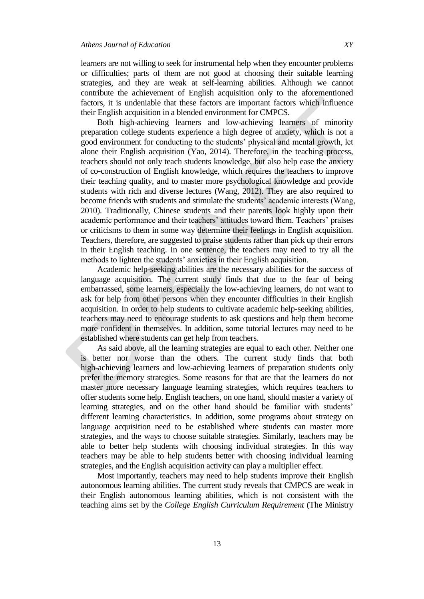learners are not willing to seek for instrumental help when they encounter problems or difficulties; parts of them are not good at choosing their suitable learning strategies, and they are weak at self-learning abilities. Although we cannot contribute the achievement of English acquisition only to the aforementioned factors, it is undeniable that these factors are important factors which influence their English acquisition in a blended environment for CMPCS.

Both high-achieving learners and low-achieving learners of minority preparation college students experience a high degree of anxiety, which is not a good environment for conducting to the students" physical and mental growth, let alone their English acquisition (Yao, 2014). Therefore, in the teaching process, teachers should not only teach students knowledge, but also help ease the anxiety of co-construction of English knowledge, which requires the teachers to improve their teaching quality, and to master more psychological knowledge and provide students with rich and diverse lectures (Wang, 2012). They are also required to become friends with students and stimulate the students' academic interests (Wang, 2010). Traditionally, Chinese students and their parents look highly upon their academic performance and their teachers' attitudes toward them. Teachers' praises or criticisms to them in some way determine their feelings in English acquisition. Teachers, therefore, are suggested to praise students rather than pick up their errors in their English teaching. In one sentence, the teachers may need to try all the methods to lighten the students" anxieties in their English acquisition.

Academic help-seeking abilities are the necessary abilities for the success of language acquisition. The current study finds that due to the fear of being embarrassed, some learners, especially the low-achieving learners, do not want to ask for help from other persons when they encounter difficulties in their English acquisition. In order to help students to cultivate academic help-seeking abilities, teachers may need to encourage students to ask questions and help them become more confident in themselves. In addition, some tutorial lectures may need to be established where students can get help from teachers.

As said above, all the learning strategies are equal to each other. Neither one is better nor worse than the others. The current study finds that both high-achieving learners and low-achieving learners of preparation students only prefer the memory strategies. Some reasons for that are that the learners do not master more necessary language learning strategies, which requires teachers to offer students some help. English teachers, on one hand, should master a variety of learning strategies, and on the other hand should be familiar with students' different learning characteristics. In addition, some programs about strategy on language acquisition need to be established where students can master more strategies, and the ways to choose suitable strategies. Similarly, teachers may be able to better help students with choosing individual strategies. In this way teachers may be able to help students better with choosing individual learning strategies, and the English acquisition activity can play a multiplier effect.

Most importantly, teachers may need to help students improve their English autonomous learning abilities. The current study reveals that CMPCS are weak in their English autonomous learning abilities, which is not consistent with the teaching aims set by the *College English Curriculum Requirement* (The Ministry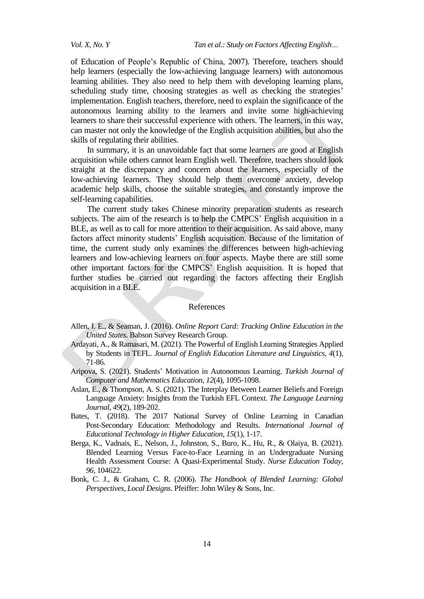of Education of People"s Republic of China, 2007). Therefore, teachers should help learners (especially the low-achieving language learners) with autonomous learning abilities. They also need to help them with developing learning plans, scheduling study time, choosing strategies as well as checking the strategies' implementation. English teachers, therefore, need to explain the significance of the autonomous learning ability to the learners and invite some high-achieving learners to share their successful experience with others. The learners, in this way, can master not only the knowledge of the English acquisition abilities, but also the skills of regulating their abilities.

In summary, it is an unavoidable fact that some learners are good at English acquisition while others cannot learn English well. Therefore, teachers should look straight at the discrepancy and concern about the learners, especially of the low-achieving learners. They should help them overcome anxiety, develop academic help skills, choose the suitable strategies, and constantly improve the self-learning capabilities.

The current study takes Chinese minority preparation students as research subjects. The aim of the research is to help the CMPCS' English acquisition in a BLE, as well as to call for more attention to their acquisition. As said above, many factors affect minority students" English acquisition. Because of the limitation of time, the current study only examines the differences between high-achieving learners and low-achieving learners on four aspects. Maybe there are still some other important factors for the CMPCS" English acquisition. It is hoped that further studies be carried out regarding the factors affecting their English acquisition in a BLE.

#### References

- Allen, I. E., & Seaman, J. (2016). *Online Report Card: Tracking Online Education in the United States*. Babson Survey Research Group.
- Ardayati, A., & Ramasari, M. (2021). The Powerful of English Learning Strategies Applied by Students in TEFL. *Journal of English Education Literature and Linguistics*, *4*(1), 71-86.
- Aripova, S. (2021). Students" Motivation in Autonomous Learning. *Turkish Journal of Computer and Mathematics Education*, *12*(4), 1095-1098.
- Aslan, E., & Thompson, A. S. (2021). The Interplay Between Learner Beliefs and Foreign Language Anxiety: Insights from the Turkish EFL Context. *The Language Learning Journal*, *49*(2), 189-202.
- Bates, T. (2018). The 2017 National Survey of Online Learning in Canadian Post-Secondary Education: Methodology and Results. *International Journal of Educational Technology in Higher Education*, *15*(1), 1-17.
- Berga, K., Vadnais, E., Nelson, J., Johnston, S., Buro, K., Hu, R., & Olaiya, B. (2021). Blended Learning Versus Face-to-Face Learning in an Undergraduate Nursing Health Assessment Course: A Quasi-Experimental Study. *Nurse Education Today*, *96*, 104622.
- Bonk, C. J., & Graham, C. R. (2006). *The Handbook of Blended Learning: Global Perspectives, Local Designs*. Pfeiffer: John Wiley & Sons, Inc.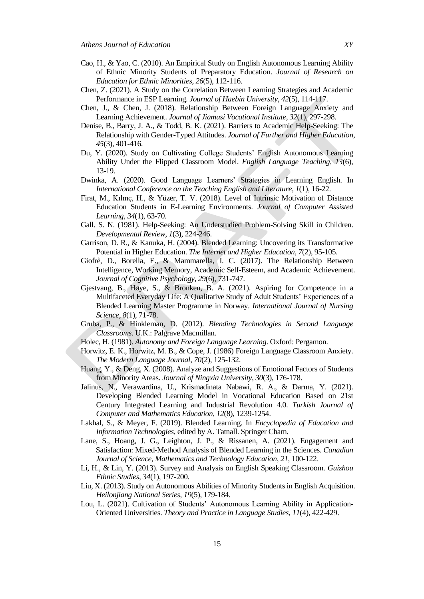- Cao, H., & Yao, C. (2010). An Empirical Study on English Autonomous Learning Ability of Ethnic Minority Students of Preparatory Education. *Journal of Research on Education for Ethnic Minorities*, *26*(5), 112-116.
- Chen, Z. (2021). A Study on the Correlation Between Learning Strategies and Academic Performance in ESP Learning. *Journal of Haebin University*, *42*(5), 114-117.
- Chen, J., & Chen, J. (2018). Relationship Between Foreign Language Anxiety and Learning Achievement. *Journal of Jiamusi Vocational Institute*, *32*(1), 297-298.
- Denise, B., Barry, J. A., & Todd, B. K. (2021). Barriers to Academic Help-Seeking: The Relationship with Gender-Typed Attitudes. *Journal of Further and Higher Education*, *45*(3), 401-416.
- Du, Y. (2020). Study on Cultivating College Students" English Autonomous Learning Ability Under the Flipped Classroom Model. *English Language Teaching*, *13*(6), 13-19.
- Dwinka, A. (2020). Good Language Learners" Strategies in Learning English. In *International Conference on the Teaching English and Literature*, *1*(1), 16-22.
- Firat, M., Kılınç, H., & Yüzer, T. V. (2018). Level of Intrinsic Motivation of Distance Education Students in E-Learning Environments. *Journal of Computer Assisted Learning*, *34*(1), 63-70.
- Gall. S. N. (1981). Help-Seeking: An Understudied Problem-Solving Skill in Children. *Developmental Review*, *1*(3), 224-246.
- Garrison, D. R., & Kanuka, H. (2004). Blended Learning: Uncovering its Transformative Potential in Higher Education. *The Internet and Higher Education*, *7*(2), 95-105.
- Giofrè, D., Borella, E., & Mammarella, I. C. (2017). The Relationship Between Intelligence, Working Memory, Academic Self-Esteem, and Academic Achievement. *Journal of Cognitive Psychology*, *29*(6), 731-747.
- Gjestvang, B., Høye, S., & Bronken, B. A. (2021). Aspiring for Competence in a Multifaceted Everyday Life: A Qualitative Study of Adult Students" Experiences of a Blended Learning Master Programme in Norway. *International Journal of Nursing Science*, *8*(1), 71-78.
- Gruba, P., & Hinkleman, D. (2012). *Blending Technologies in Second Language Classrooms*. U.K.: Palgrave Macmillan.
- Holec, H. (1981). *Autonomy and Foreign Language Learning*. Oxford: Pergamon.
- Horwitz, E. K., Horwitz, M. B., & Cope, J. (1986) Foreign Language Classroom Anxiety. *The Modern Language Journal*, *70*(2), 125-132.
- Huang, Y., & Deng, X. (2008). Analyze and Suggestions of Emotional Factors of Students from Minority Areas. *Journal of Ningxia University*, *30*(3), 176-178.
- Jalinus, N., Verawardina, U., Krismadinata Nabawi, R. A., & Darma, Y. (2021). Developing Blended Learning Model in Vocational Education Based on 21st Century Integrated Learning and Industrial Revolution 4.0. *Turkish Journal of Computer and Mathematics Education*, *12*(8), 1239-1254.
- Lakhal, S., & Meyer, F. (2019). Blended Learning. In *Encyclopedia of Education and Information Technologies,* edited by A. Tatnall. Springer Cham.
- Lane, S., Hoang, J. G., Leighton, J. P., & Rissanen, A. (2021). Engagement and Satisfaction: Mixed-Method Analysis of Blended Learning in the Sciences. *Canadian Journal of Science, Mathematics and Technology Education*, *21*, 100-122.
- Li, H., & Lin, Y. (2013). Survey and Analysis on English Speaking Classroom. *Guizhou Ethnic Studies*, *34*(1), 197-200.
- Liu, X. (2013). Study on Autonomous Abilities of Minority Students in English Acquisition. *Heilonjiang National Series*, *19*(5), 179-184.
- Lou, L. (2021). Cultivation of Students" Autonomous Learning Ability in Application-Oriented Universities. *Theory and Practice in Language Studies*, *11*(4), 422-429.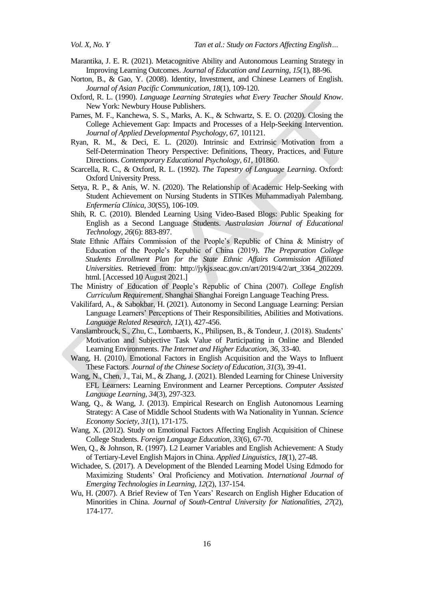- Marantika, J. E. R. (2021). Metacognitive Ability and Autonomous Learning Strategy in Improving Learning Outcomes. *Journal of Education and Learning*, *15*(1), 88-96.
- Norton, B., & Gao, Y. (2008). Identity, Investment, and Chinese Learners of English. *Journal of Asian Pacific Communication*, *18*(1), 109-120.
- Oxford, R. L. (1990). *Language Learning Strategies what Every Teacher Should Know*. New York: Newbury House Publishers.
- Parnes, M. F., Kanchewa, S. S., Marks, A. K., & Schwartz, S. E. O. (2020). Closing the College Achievement Gap: Impacts and Processes of a Help-Seeking Intervention. *Journal of Applied Developmental Psychology*, *67*, 101121.
- Ryan, R. M., & Deci, E. L. (2020). Intrinsic and Extrinsic Motivation from a Self-Determination Theory Perspective: Definitions, Theory, Practices, and Future Directions. *Contemporary Educational Psychology*, *61*, 101860.
- Scarcella, R. C., & Oxford, R. L. (1992). *The Tapestry of Language Learning*. Oxford: Oxford University Press.
- Setya, R. P., & Anis, W. N. (2020). The Relationship of Academic Help-Seeking with Student Achievement on Nursing Students in STIKes Muhammadiyah Palembang. *Enfermería Clínica, 30*(S5), 106-109.
- Shih, R. C. (2010). Blended Learning Using Video-Based Blogs: Public Speaking for English as a Second Language Students. *Australasian Journal of Educational Technology, 26*(6): 883-897.
- State Ethnic Affairs Commission of the People"s Republic of China & Ministry of Education of the People"s Republic of China (2019). *The Preparation College Students Enrollment Plan for the State Ethnic Affairs Commission Affiliated Universities*. Retrieved from: http://jykjs.seac.gov.cn/art/2019/4/2/art\_3364\_202209. html. [Accessed 10 August 2021.]
- The Ministry of Education of People"s Republic of China (2007). *College English Curriculum Requirement*. Shanghai Shanghai Foreign Language Teaching Press.
- Vakilifard, A., & Sabokbar, H. (2021). Autonomy in Second Language Learning: Persian Language Learners" Perceptions of Their Responsibilities, Abilities and Motivations. *Language Related Research*, *12*(1), 427-456.
- Vanslambrouck, S., Zhu, C., Lombaerts, K., Philipsen, B., & Tondeur, J. (2018). Students" Motivation and Subjective Task Value of Participating in Online and Blended Learning Environments. *The Internet and Higher Education*, *36*, 33-40.
- Wang, H. (2010). Emotional Factors in English Acquisition and the Ways to Influent These Factors. *Journal of the Chinese Society of Education*, *31*(3), 39-41.
- Wang, N., Chen, J., Tai, M., & Zhang, J. (2021). Blended Learning for Chinese University EFL Learners: Learning Environment and Learner Perceptions. *Computer Assisted Language Learning*, *34*(3), 297-323.
- Wang, Q., & Wang, J. (2013). Empirical Research on English Autonomous Learning Strategy: A Case of Middle School Students with Wa Nationality in Yunnan. *Science Economy Society*, *31*(1), 171-175.
- Wang, X. (2012). Study on Emotional Factors Affecting English Acquisition of Chinese College Students. *Foreign Language Education*, *33*(6), 67-70.
- Wen, Q., & Johnson, R. (1997). L2 Learner Variables and English Achievement: A Study of Tertiary-Level English Majors in China. *Applied Linguistics*, *18*(1), 27-48.
- Wichadee, S. (2017). A Development of the Blended Learning Model Using Edmodo for Maximizing Students" Oral Proficiency and Motivation. *International Journal of Emerging Technologies in Learning*, *12*(2), 137-154.
- Wu, H. (2007). A Brief Review of Ten Years" Research on English Higher Education of Minorities in China. *Journal of South-Central University for Nationalities*, *27*(2), 174-177.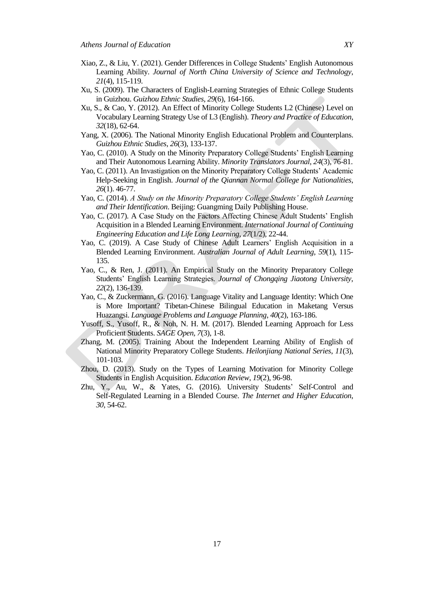- Xiao, Z., & Liu, Y. (2021). Gender Differences in College Students" English Autonomous Learning Ability. *Journal of North China University of Science and Technology*, *21*(4), 115-119.
- Xu, S. (2009). The Characters of English-Learning Strategies of Ethnic College Students in Guizhou. *Guizhou Ethnic Studies*, *29*(6), 164-166.
- Xu, S., & Cao, Y. (2012). An Effect of Minority College Students L2 (Chinese) Level on Vocabulary Learning Strategy Use of L3 (English). *Theory and Practice of Education*, *32*(18), 62-64.
- Yang, X. (2006). The National Minority English Educational Problem and Counterplans. *Guizhou Ethnic Studies*, *26*(3), 133-137.
- Yao, C. (2010). A Study on the Minority Preparatory College Students' English Learning and Their Autonomous Learning Ability. *Minority Translators Journal*, *24*(3), 76-81.
- Yao, C. (2011). An Invastigation on the Minority Preparatory College Students" Academic Help-Seeking in English. *Journal of the Qiannan Normal College for Nationalities*, *26*(1). 46-77.
- Yao, C. (2014). *A Study on the Minority Preparatory College Students' English Learning and Their Identification*. Beijing: Guangming Daily Publishing House.
- Yao, C. (2017). A Case Study on the Factors Affecting Chinese Adult Students' English Acquisition in a Blended Learning Environment. *International Journal of Continuing Engineering Education and Life Long Learning*, *27*(1/2), 22-44.
- Yao, C. (2019). A Case Study of Chinese Adult Learners" English Acquisition in a Blended Learning Environment. *Australian Journal of Adult Learning*, *59*(1), 115- 135.
- Yao, C., & Ren, J. (2011). An Empirical Study on the Minority Preparatory College Students" English Learning Strategies. *Journal of Chongqing Jiaotong University*, *22*(2), 136-139.
- Yao, C., & Zuckermann, G. (2016). Language Vitality and Language Identity: Which One is More Important? Tibetan-Chinese Bilingual Education in Maketang Versus Huazangsi. *Language Problems and Language Planning*, *40*(2), 163-186.
- Yusoff, S., Yusoff, R., & Noh, N. H. M. (2017). Blended Learning Approach for Less Proficient Students. *SAGE Open, 7*(3), 1-8.
- Zhang, M. (2005). Training About the Independent Learning Ability of English of National Minority Preparatory College Students. *Heilonjiang National Series*, *11*(3), 101-103.
- Zhou, D. (2013). Study on the Types of Learning Motivation for Minority College Students in English Acquisition. *Education Review*, *19*(2), 96-98.
- Zhu, Y., Au, W., & Yates, G. (2016). University Students' Self-Control and Self-Regulated Learning in a Blended Course. *The Internet and Higher Education*, *30*, 54-62.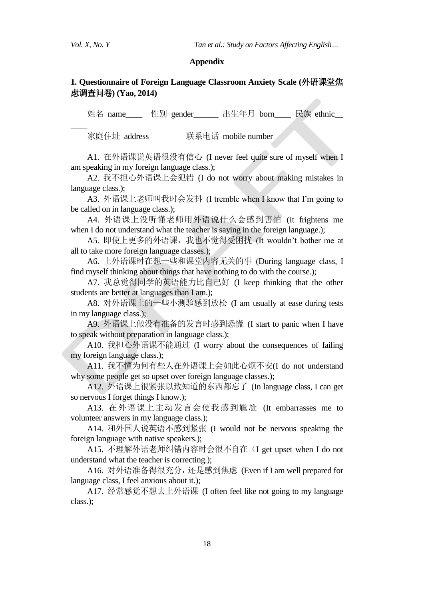$\overline{\phantom{a}}$ 

*Vol. X, No. Y* Tan *et al.: Study on Factors Affecting English...* 

#### **Appendix**

# **1. Questionnaire of Foreign Language Classroom Anxiety Scale (**外语课堂焦 虑调查问卷**) (Yao, 2014)**

姓名 name\_\_\_ 性别 gender\_\_\_\_\_ 出生年月 born\_\_\_ 民族 ethnic\_\_

家庭住址 address\_\_\_\_\_\_ 联系电话 mobile number\_\_\_\_

A1. 在外语课说英语很没有信心 (I never feel quite sure of myself when I am speaking in my foreign language class.);

A2. 我不担心外语课上会犯错 (I do not worry about making mistakes in language class.);

A3. 外语课上老师叫我时会发抖 (I tremble when I know that I"m going to be called on in language class.);

A4. 外语课上没听懂老师用外语说什么会感到害怕 (It frightens me when I do not understand what the teacher is saying in the foreign language.);

A5. 即使上更多的外语课, 我也不觉得受困扰 (It wouldn't bother me at all to take more foreign language classes.);

A6. 上外语课时在想一些和课堂内容无关的事 (During language class, I find myself thinking about things that have nothing to do with the course.);

A7. 我总觉得同学的英语能力比自己好 (I keep thinking that the other students are better at languages than I am.);

A8. 对外语课上的一些小测验感到放松 (I am usually at ease during tests in my language class.);

A9. 外语课上做没有准备的发言时感到恐慌 (I start to panic when I have to speak without preparation in language class.);

A10. 我担心外语课不能通过 (I worry about the consequences of failing my foreign language class.);

A11. 我不懂为何有些人在外语课上会如此心烦不安(I do not understand why some people get so upset over foreign language classes.);

A12. 外语课上很紧张以致知道的东西都忘了 (In language class, I can get so nervous I forget things I know.);

A13. 在外语课上主动发言会使我感到尴尬 (It embarrasses me to volunteer answers in my language class.);

A14. 和外国人说英语不感到紧张 (I would not be nervous speaking the foreign language with native speakers.);

A15. 不理解外语老师纠错内容时会很不自在(I get upset when I do not understand what the teacher is correcting.);

A16. 对外语准备得很充分,还是感到焦虑 (Even if I am well prepared for language class, I feel anxious about it.);

A17. 经常感觉不想去上外语课 (I often feel like not going to my language class.);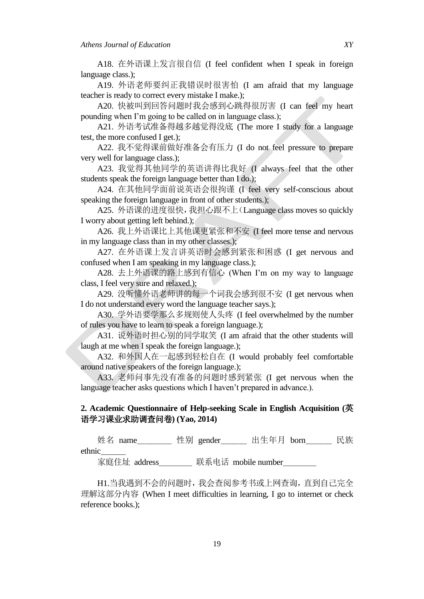A18. 在外语课上发言很自信 (I feel confident when I speak in foreign language class.);

A19. 外语老师要纠正我错误时很害怕 (I am afraid that my language teacher is ready to correct every mistake I make.);

A20. 快被叫到回答问题时我会感到心跳得很厉害 (I can feel my heart pounding when I"m going to be called on in language class.);

A21. 外语考试准备得越多越觉得没底 (The more I study for a language test, the more confused I get.);

A22. 我不觉得课前做好准备会有压力 (I do not feel pressure to prepare very well for language class.);

A23. 我觉得其他同学的英语讲得比我好 (I always feel that the other students speak the foreign language better than I do.);

A24. 在其他同学面前说英语会很拘谨 (I feel very self-conscious about speaking the foreign language in front of other students.);

A25. 外语课的进度很快,我担心跟不上(Language class moves so quickly I worry about getting left behind.);

A26. 我上外语课比上其他课更紧张和不安 (I feel more tense and nervous in my language class than in my other classes.);

A27. 在外语课上发言讲英语时会感到紧张和困惑 (I get nervous and confused when I am speaking in my language class.);

A28. 去上外语课的路上感到有信心 (When I"m on my way to language class, I feel very sure and relaxed.);

A29. 没听懂外语老师讲的每一个词我会感到很不安 (I get nervous when I do not understand every word the language teacher says.);

A30. 学外语要学那么多规则使人头疼 (I feel overwhelmed by the number of rules you have to learn to speak a foreign language.);

A31. 说外语时担心别的同学取笑 (I am afraid that the other students will laugh at me when I speak the foreign language.);

A32. 和外国人在一起感到轻松自在 (I would probably feel comfortable around native speakers of the foreign language.);

A33. 老师问事先没有准备的问题时感到紧张 (I get nervous when the language teacher asks questions which I haven't prepared in advance.).

# **2. Academic Questionnaire of Help-seeking Scale in English Acquisition (**英 语学习课业求助调查问卷**) (Yao, 2014)**

姓名 name 性别 gender 出生年月 born 民族 ethnic\_\_\_

家庭住址 address\_\_\_\_\_\_\_ 联系电话 mobile number\_\_\_\_\_\_\_

H1.当我遇到不会的问题时,我会查阅参考书或上网查询,直到自己完全 理解这部分内容 (When I meet difficulties in learning, I go to internet or check reference books.);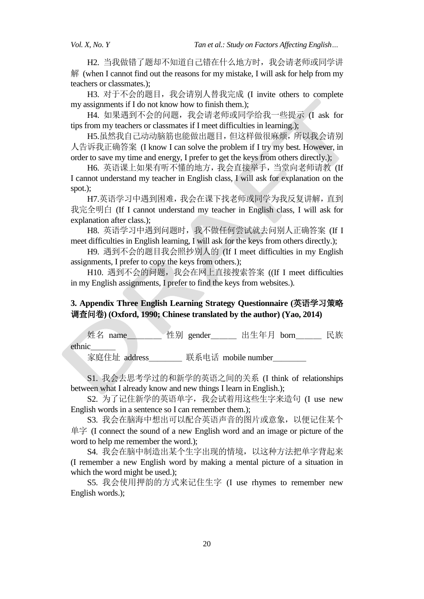H2. 当我做错了题却不知道自己错在什么地方时,我会请老师或同学讲  $#$  (when I cannot find out the reasons for my mistake, I will ask for help from my teachers or classmates.);

H3. 对于不会的题目, 我会请别人替我完成 (I invite others to complete my assignments if I do not know how to finish them.);

H4. 如果遇到不会的问题, 我会请老师或同学给我一些提示 (I ask for tips from my teachers or classmates if I meet difficulties in learning.);

H5.虽然我自己动动脑筋也能做出题目,但这样做很麻烦,所以我会请别 人告诉我正确答案 (I know I can solve the problem if I try my best. However, in order to save my time and energy, I prefer to get the keys from others directly.);

H6. 英语课上如果有听不懂的地方,我会直接举手,当堂向老师请教 (If I cannot understand my teacher in English class, I will ask for explanation on the spot.);

H7.英语学习中遇到困难,我会在课下找老师或同学为我反复讲解,直到 我完全明白 (If I cannot understand my teacher in English class, I will ask for explanation after class.);

H8. 英语学习中遇到问题时, 我不做任何尝试就去问别人正确答案 (If I meet difficulties in English learning, I will ask for the keys from others directly.);

H9. 遇到不会的题目我会照抄别人的 (If I meet difficulties in my English assignments, I prefer to copy the keys from others.);

H10. 遇到不会的问题, 我会在网上直接搜索答案 ((If I meet difficulties in my English assignments, I prefer to find the keys from websites.).

# **3. Appendix Three English Learning Strategy Questionnaire (**英语学习策略 调查问卷**) (Oxford, 1990; Chinese translated by the author) (Yao, 2014)**

姓名 name\_\_\_\_\_\_ 性别 gender\_\_\_\_\_ 出生年月 born\_\_\_\_\_ 民族 ethnic\_\_\_

家庭住址 address 联系电话 mobile number

S1. 我会去思考学过的和新学的英语之间的关系 (I think of relationships between what I already know and new things I learn in English.);

S2. 为了记住新学的英语单字,我会试着用这些生字来造句 (I use new English words in a sentence so I can remember them.);

S3. 我会在脑海中想出可以配合英语声音的图片或意象,以便记住某个 单字 (I connect the sound of a new English word and an image or picture of the word to help me remember the word.);

S4. 我会在脑中制造出某个生字出现的情境,以这种方法把单字背起来 (I remember a new English word by making a mental picture of a situation in which the word might be used.);

S5. 我会使用押韵的方式来记住生字 (I use rhymes to remember new English words.);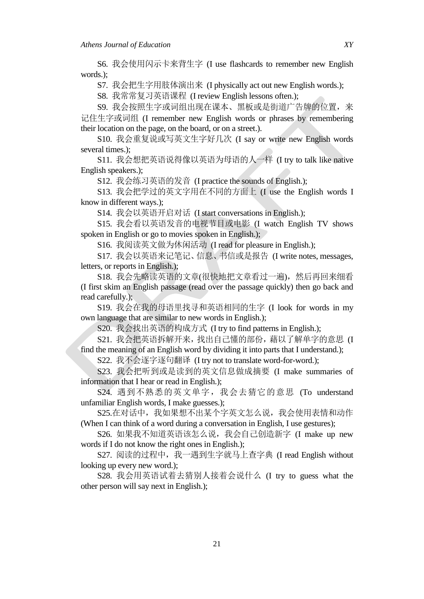S6. 我会使用闪示卡来背生字 (I use flashcards to remember new English words.);

S7. 我会把生字用肢体演出来 (I physically act out new English words.);

S8. 我常常复习英语课程 (I review English lessons often.);

S9. 我会按照生字或词组出现在课本、黑板或是街道广告牌的位置,来 记住生字或词组 (I remember new English words or phrases by remembering their location on the page, on the board, or on a street.).

S10. 我会重复说或写英文生字好几次 (I say or write new English words several times.);

S11. 我会想把英语说得像以英语为母语的人一样 (I try to talk like native English speakers.);

S12. 我会练习英语的发音 (I practice the sounds of English.);

S13. 我会把学过的英文字用在不同的方面上 (I use the English words I know in different ways.);

S14. 我会以英语开启对话 (I start conversations in English.);

S15. 我会看以英语发音的电视节目或电影 (I watch English TV shows spoken in English or go to movies spoken in English.);

S16. 我阅读英文做为休闲活动 (I read for pleasure in English.);

S17. 我会以英语来记笔记、信息、书信或是报告 (I write notes, messages, letters, or reports in English.);

S18. 我会先略读英语的文章(很快地把文章看过一遍), 然后再回来细看 (I first skim an English passage (read over the passage quickly) then go back and read carefully.);

S19. 我会在我的母语里找寻和英语相同的生字 (I look for words in my own language that are similar to new words in English.);

S20. 我会找出英语的构成方式 (I try to find patterns in English.);

S21. 我会把英语拆解开来,找出自己懂的部份,藉以了解单字的意思 (I find the meaning of an English word by dividing it into parts that I understand.);

S22. 我不会逐字逐句翻译 (I try not to translate word-for-word.);

S23. 我会把听到或是读到的英文信息做成摘要 (I make summaries of information that I hear or read in English.);

S24. 遇到不熟悉的英文单字,我会去猜它的意思 (To understand unfamiliar English words, I make guesses.);

S25.在对话中,我如果想不出某个字英文怎么说,我会使用表情和动作 (When I can think of a word during a conversation in English, I use gestures);

S26. 如果我不知道英语该怎么说,我会自己创造新字 (I make up new words if I do not know the right ones in English.);

S27. 阅读的过程中, 我一遇到生字就马上查字典 (I read English without looking up every new word.);

S28. 我会用英语试着去猜别人接着会说什么 (I try to guess what the other person will say next in English.);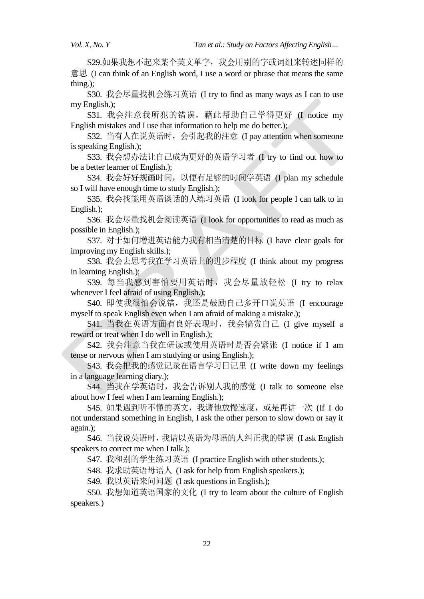S29.如果我想不起来某个英文单字, 我会用别的字或词组来转述同样的 意思 (I can think of an English word, I use a word or phrase that means the same thing.);

S30. 我会尽量找机会练习英语 (I try to find as many ways as I can to use my English.);

S31. 我会注意我所犯的错误, 藉此帮助自己学得更好 (I notice my English mistakes and I use that information to help me do better.);

S32. 当有人在说英语时,会引起我的注意 (I pay attention when someone is speaking English.);

S33. 我会想办法让自己成为更好的英语学习者 (I try to find out how to be a better learner of English.);

S34. 我会好好规画时间,以便有足够的时间学英语 (I plan my schedule so I will have enough time to study English.);

S35. 我会找能用英语谈话的人练习英语 (I look for people I can talk to in English.);

S36. 我会尽量找机会阅读英语 (I look for opportunities to read as much as possible in English.);

S37. 对于如何增进英语能力我有相当清楚的目标 (I have clear goals for improving my English skills.);

S38. 我会去思考我在学习英语上的进步程度 (I think about my progress in learning English.);

S39. 每当我感到害怕要用英语时,我会尽量放轻松 (I try to relax whenever I feel afraid of using English.);

S40. 即使我很怕会说错, 我还是鼓励自己多开口说英语 (I encourage myself to speak English even when I am afraid of making a mistake.);

S41. 当我在英语方面有良好表现时,我会犒赏自己 (I give myself a reward or treat when I do well in English.);

S42. 我会注意当我在研读或使用英语时是否会紧张 (I notice if I am tense or nervous when I am studying or using English.);

S43. 我会把我的感觉记录在语言学习日记里 (I write down my feelings in a language learning diary.);

S44. 当我在学英语时, 我会告诉别人我的感觉 (I talk to someone else about how I feel when I am learning English.);

S45. 如果遇到听不懂的英文,我请他放慢速度,或是再讲一次 (If I do not understand something in English, I ask the other person to slow down or say it again.);

S46. 当我说英语时,我请以英语为母语的人纠正我的错误 (I ask English speakers to correct me when I talk.);

S47. 我和别的学生练习英语 (I practice English with other students.);

S48. 我求助英语母语人 (I ask for help from English speakers.);

S49. 我以英语来问问题 (I ask questions in English.);

S50. 我想知道英语国家的文化 (I try to learn about the culture of English speakers.)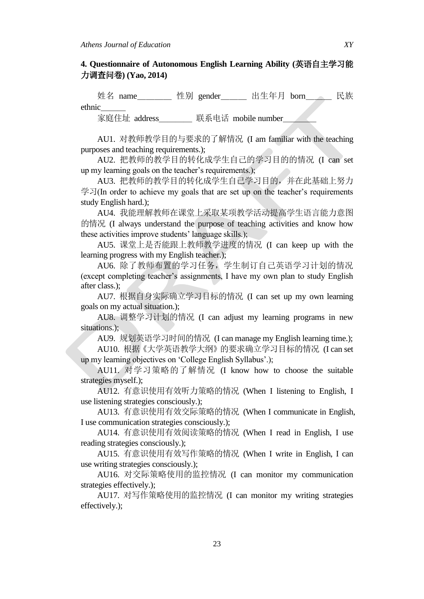## **4. Questionnaire of Autonomous English Learning Ability (**英语自主学习能 力调查问卷**) (Yao, 2014)**

姓名 name\_\_\_\_ 性别 gender\_\_\_ 出生年月 born\_\_\_ 民族 ethnic\_\_\_

家庭住址 address \_\_\_\_\_\_ 联系电话 mobile number

AU1. 对教师教学目的与要求的了解情况 (I am familiar with the teaching purposes and teaching requirements.);

AU2. 把教师的教学目的转化成学生自己的学习目的的情况 (I can set up my learning goals on the teacher"s requirements.);

AU3. 把教师的教学目的转化成学生自己学习目的,并在此基础上努力 学习(In order to achieve my goals that are set up on the teacher's requirements study English hard.);

AU4. 我能理解教师在课堂上采取某项教学活动提高学生语言能力意图 的情况 (I always understand the purpose of teaching activities and know how these activities improve students' language skills.);

AU5. 课堂上是否能跟上教师教学进度的情况 (I can keep up with the learning progress with my English teacher.);

AU6. 除了教师布置的学习任务,学生制订自己英语学习计划的情况 (except completing teacher"s assignments, I have my own plan to study English after class.);

AU7. 根据自身实际确立学习目标的情况 (I can set up my own learning goals on my actual situation.);

AU8. 调整学习计划的情况 (I can adjust my learning programs in new situations.);

AU9. 规划英语学习时间的情况 (I can manage my English learning time.);

AU10. 根据《大学英语教学大纲》的要求确立学习目标的情况 (I can set up my learning objectives on "College English Syllabus".);

AU11. 对学习策略的了解情况 (I know how to choose the suitable strategies myself.);

AU12. 有意识使用有效听力策略的情况 (When I listening to English, I use listening strategies consciously.);

AU13. 有意识使用有效交际策略的情况 (When I communicate in English, I use communication strategies consciously.);

AU14. 有意识使用有效阅读策略的情况 (When I read in English, I use reading strategies consciously.);

AU15. 有意识使用有效写作策略的情况 (When I write in English, I can use writing strategies consciously.);

AU16. 对交际策略使用的监控情况 (I can monitor my communication strategies effectively.);

AU17. 对写作策略使用的监控情况 (I can monitor my writing strategies effectively.);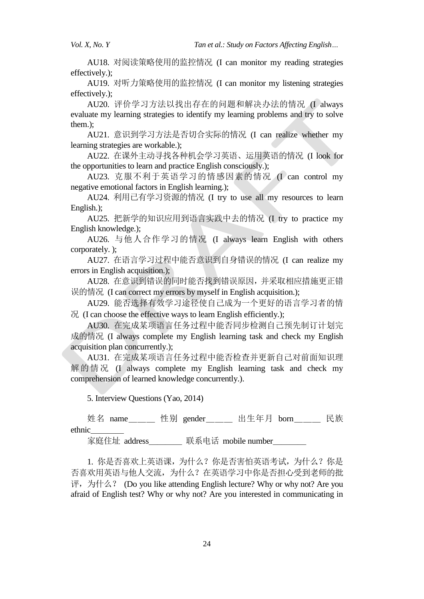AU18. 对阅读策略使用的监控情况 (I can monitor my reading strategies effectively.);

AU19. 对听力策略使用的监控情况 (I can monitor my listening strategies effectively.);

AU20. 评价学习方法以找出存在的问题和解决办法的情况 (I always evaluate my learning strategies to identify my learning problems and try to solve them.);

AU21. 意识到学习方法是否切合实际的情况 (I can realize whether my learning strategies are workable.);

AU22. 在课外主动寻找各种机会学习英语、运用英语的情况 (I look for the opportunities to learn and practice English consciously.);

AU23. 克服不利于英语学习的情感因素的情况 (I can control my negative emotional factors in English learning.);

AU24. 利用已有学习资源的情况 (I try to use all my resources to learn English.);

AU25. 把新学的知识应用到语言实践中去的情况 (I try to practice my English knowledge.);

AU26. 与他人合作学习的情况 (I always learn English with others corporately. );

AU27. 在语言学习过程中能否意识到自身错误的情况 (I can realize my errors in English acquisition.);

AU28. 在意识到错误的同时能否找到错误原因,并采取相应措施更正错 误的情况 (I can correct my errors by myself in English acquisition.);

AU29. 能否选择有效学习途径使自己成为一个更好的语言学习者的情  $\mathcal{H}$  (I can choose the effective ways to learn English efficiently.);

AU30. 在完成某项语言任务过程中能否同步检测自己预先制订计划完 成的情况 (I always complete my English learning task and check my English acquisition plan concurrently.);

AU31. 在完成某项语言任务过程中能否检查并更新自己对前面知识理 解的情况 (I always complete my English learning task and check my comprehension of learned knowledge concurrently.).

5. Interview Questions (Yao, 2014)

姓名 name 性别 gender 出生年月 born 民族 ethnic\_\_\_\_

家庭住址 address 联系电话 mobile number

1. 你是否喜欢上英语课,为什么?你是否害怕英语考试,为什么?你是 否喜欢用英语与他人交流,为什么?在英语学习中你是否担心受到老师的批 评, 为什么? (Do you like attending English lecture? Why or why not? Are you afraid of English test? Why or why not? Are you interested in communicating in